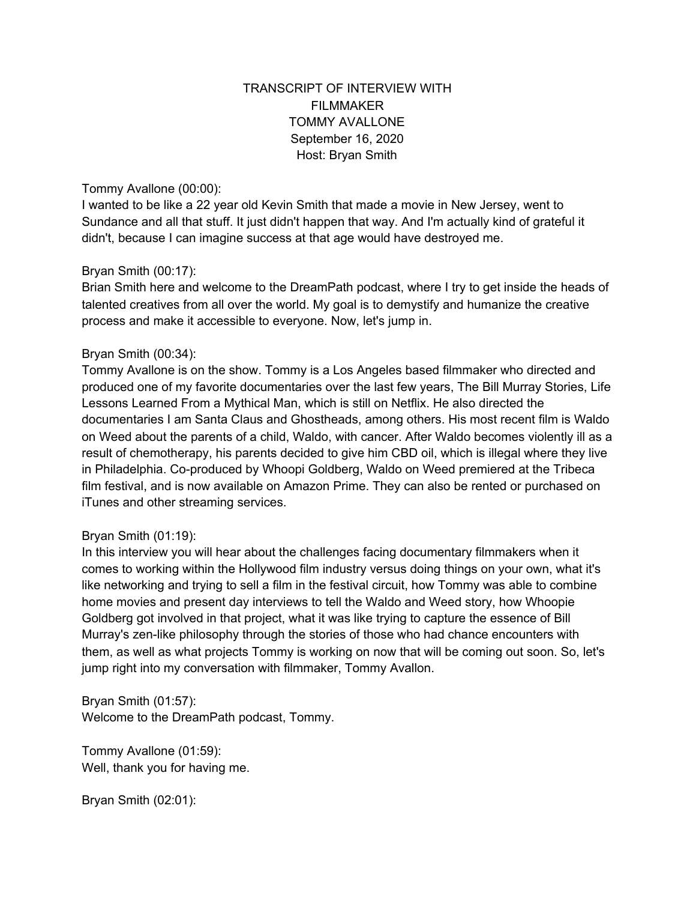## TRANSCRIPT OF INTERVIEW WITH FILMMAKER TOMMY AVALLONE September 16, 2020 Host: Bryan Smith

#### Tommy Avallone (00:00):

I wanted to be like a 22 year old Kevin Smith that made a movie in New Jersey, went to Sundance and all that stuff. It just didn't happen that way. And I'm actually kind of grateful it didn't, because I can imagine success at that age would have destroyed me.

#### Bryan Smith (00:17):

Brian Smith here and welcome to the DreamPath podcast, where I try to get inside the heads of talented creatives from all over the world. My goal is to demystify and humanize the creative process and make it accessible to everyone. Now, let's jump in.

### Bryan Smith (00:34):

Tommy Avallone is on the show. Tommy is a Los Angeles based filmmaker who directed and produced one of my favorite documentaries over the last few years, The Bill Murray Stories, Life Lessons Learned From a Mythical Man, which is still on Netflix. He also directed the documentaries I am Santa Claus and Ghostheads, among others. His most recent film is Waldo on Weed about the parents of a child, Waldo, with cancer. After Waldo becomes violently ill as a result of chemotherapy, his parents decided to give him CBD oil, which is illegal where they live in Philadelphia. Co-produced by Whoopi Goldberg, Waldo on Weed premiered at the Tribeca film festival, and is now available on Amazon Prime. They can also be rented or purchased on iTunes and other streaming services.

### Bryan Smith (01:19):

In this interview you will hear about the challenges facing documentary filmmakers when it comes to working within the Hollywood film industry versus doing things on your own, what it's like networking and trying to sell a film in the festival circuit, how Tommy was able to combine home movies and present day interviews to tell the Waldo and Weed story, how Whoopie Goldberg got involved in that project, what it was like trying to capture the essence of Bill Murray's zen-like philosophy through the stories of those who had chance encounters with them, as well as what projects Tommy is working on now that will be coming out soon. So, let's jump right into my conversation with filmmaker, Tommy Avallon.

Bryan Smith (01:57): Welcome to the DreamPath podcast, Tommy.

Tommy Avallone (01:59): Well, thank you for having me.

Bryan Smith (02:01):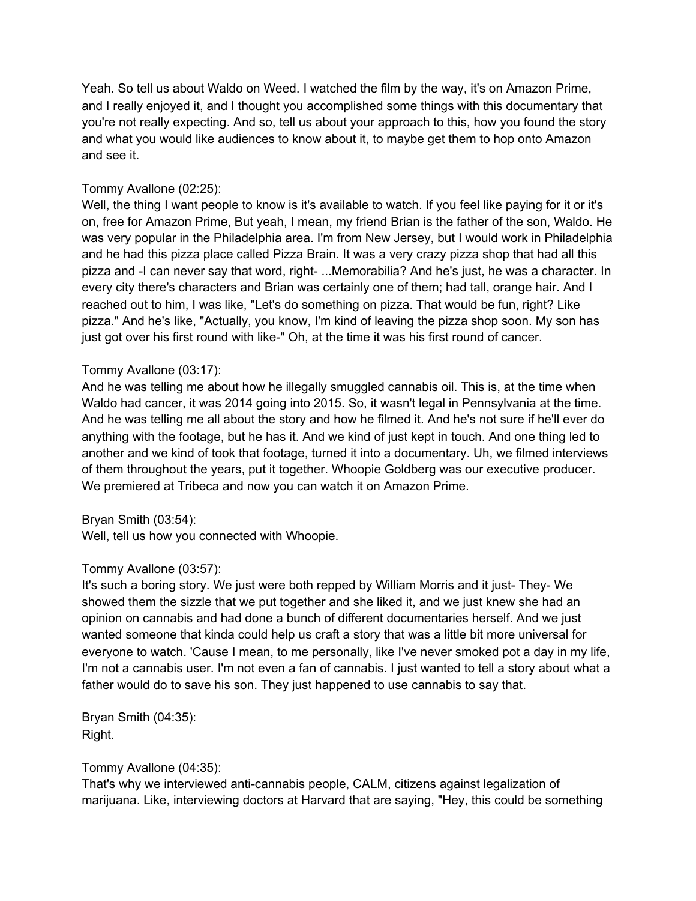Yeah. So tell us about Waldo on Weed. I watched the film by the way, it's on Amazon Prime, and I really enjoyed it, and I thought you accomplished some things with this documentary that you're not really expecting. And so, tell us about your approach to this, how you found the story and what you would like audiences to know about it, to maybe get them to hop onto Amazon and see it.

## Tommy Avallone (02:25):

Well, the thing I want people to know is it's available to watch. If you feel like paying for it or it's on, free for Amazon Prime, But yeah, I mean, my friend Brian is the father of the son, Waldo. He was very popular in the Philadelphia area. I'm from New Jersey, but I would work in Philadelphia and he had this pizza place called Pizza Brain. It was a very crazy pizza shop that had all this pizza and -I can never say that word, right- ...Memorabilia? And he's just, he was a character. In every city there's characters and Brian was certainly one of them; had tall, orange hair. And I reached out to him, I was like, "Let's do something on pizza. That would be fun, right? Like pizza." And he's like, "Actually, you know, I'm kind of leaving the pizza shop soon. My son has just got over his first round with like-" Oh, at the time it was his first round of cancer.

### Tommy Avallone (03:17):

And he was telling me about how he illegally smuggled cannabis oil. This is, at the time when Waldo had cancer, it was 2014 going into 2015. So, it wasn't legal in Pennsylvania at the time. And he was telling me all about the story and how he filmed it. And he's not sure if he'll ever do anything with the footage, but he has it. And we kind of just kept in touch. And one thing led to another and we kind of took that footage, turned it into a documentary. Uh, we filmed interviews of them throughout the years, put it together. Whoopie Goldberg was our executive producer. We premiered at Tribeca and now you can watch it on Amazon Prime.

### Bryan Smith (03:54):

Well, tell us how you connected with Whoopie.

## Tommy Avallone (03:57):

It's such a boring story. We just were both repped by William Morris and it just- They- We showed them the sizzle that we put together and she liked it, and we just knew she had an opinion on cannabis and had done a bunch of different documentaries herself. And we just wanted someone that kinda could help us craft a story that was a little bit more universal for everyone to watch. 'Cause I mean, to me personally, like I've never smoked pot a day in my life, I'm not a cannabis user. I'm not even a fan of cannabis. I just wanted to tell a story about what a father would do to save his son. They just happened to use cannabis to say that.

Bryan Smith (04:35): Right.

### Tommy Avallone (04:35):

That's why we interviewed anti-cannabis people, CALM, citizens against legalization of marijuana. Like, interviewing doctors at Harvard that are saying, "Hey, this could be something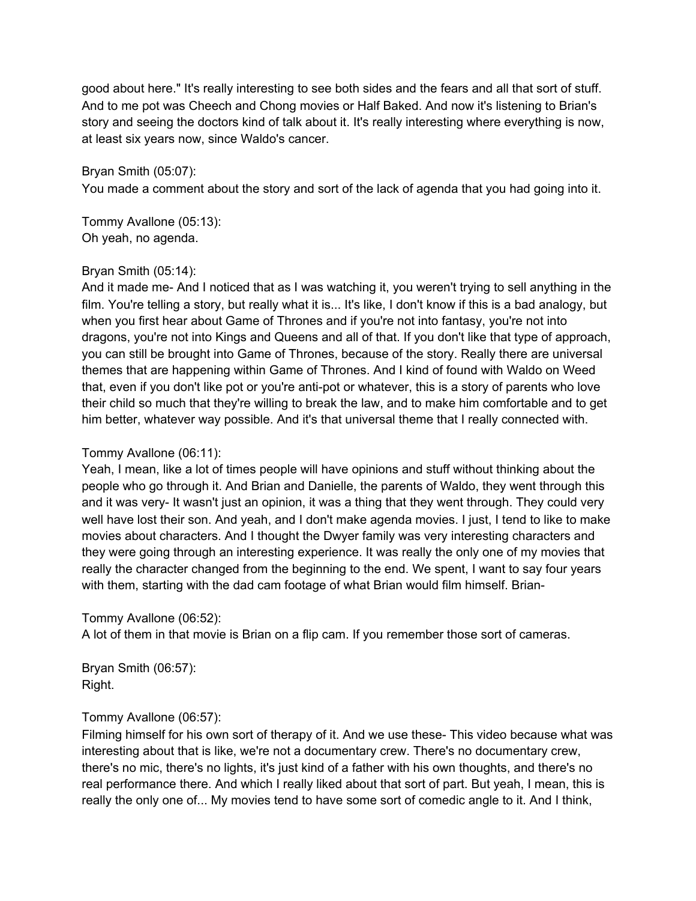good about here." It's really interesting to see both sides and the fears and all that sort of stuff. And to me pot was Cheech and Chong movies or Half Baked. And now it's listening to Brian's story and seeing the doctors kind of talk about it. It's really interesting where everything is now, at least six years now, since Waldo's cancer.

### Bryan Smith (05:07):

You made a comment about the story and sort of the lack of agenda that you had going into it.

Tommy Avallone (05:13): Oh yeah, no agenda.

### Bryan Smith (05:14):

And it made me- And I noticed that as I was watching it, you weren't trying to sell anything in the film. You're telling a story, but really what it is... It's like, I don't know if this is a bad analogy, but when you first hear about Game of Thrones and if you're not into fantasy, you're not into dragons, you're not into Kings and Queens and all of that. If you don't like that type of approach, you can still be brought into Game of Thrones, because of the story. Really there are universal themes that are happening within Game of Thrones. And I kind of found with Waldo on Weed that, even if you don't like pot or you're anti-pot or whatever, this is a story of parents who love their child so much that they're willing to break the law, and to make him comfortable and to get him better, whatever way possible. And it's that universal theme that I really connected with.

### Tommy Avallone (06:11):

Yeah, I mean, like a lot of times people will have opinions and stuff without thinking about the people who go through it. And Brian and Danielle, the parents of Waldo, they went through this and it was very- It wasn't just an opinion, it was a thing that they went through. They could very well have lost their son. And yeah, and I don't make agenda movies. I just, I tend to like to make movies about characters. And I thought the Dwyer family was very interesting characters and they were going through an interesting experience. It was really the only one of my movies that really the character changed from the beginning to the end. We spent, I want to say four years with them, starting with the dad cam footage of what Brian would film himself. Brian-

## Tommy Avallone (06:52):

A lot of them in that movie is Brian on a flip cam. If you remember those sort of cameras.

Bryan Smith (06:57): Right.

### Tommy Avallone (06:57):

Filming himself for his own sort of therapy of it. And we use these- This video because what was interesting about that is like, we're not a documentary crew. There's no documentary crew, there's no mic, there's no lights, it's just kind of a father with his own thoughts, and there's no real performance there. And which I really liked about that sort of part. But yeah, I mean, this is really the only one of... My movies tend to have some sort of comedic angle to it. And I think,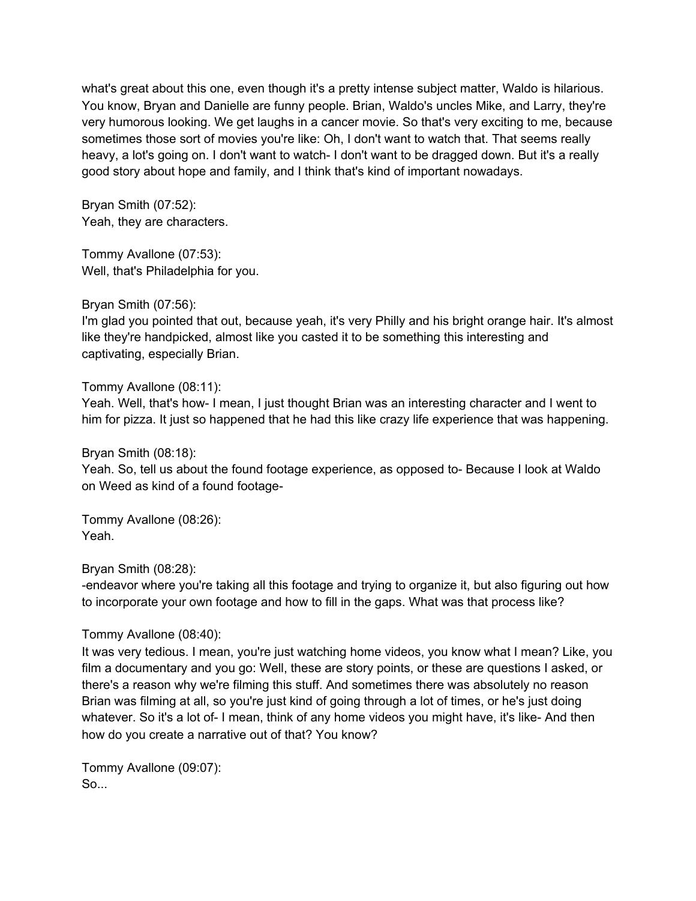what's great about this one, even though it's a pretty intense subject matter, Waldo is hilarious. You know, Bryan and Danielle are funny people. Brian, Waldo's uncles Mike, and Larry, they're very humorous looking. We get laughs in a cancer movie. So that's very exciting to me, because sometimes those sort of movies you're like: Oh, I don't want to watch that. That seems really heavy, a lot's going on. I don't want to watch- I don't want to be dragged down. But it's a really good story about hope and family, and I think that's kind of important nowadays.

Bryan Smith (07:52): Yeah, they are characters.

Tommy Avallone (07:53): Well, that's Philadelphia for you.

Bryan Smith (07:56):

I'm glad you pointed that out, because yeah, it's very Philly and his bright orange hair. It's almost like they're handpicked, almost like you casted it to be something this interesting and captivating, especially Brian.

Tommy Avallone (08:11):

Yeah. Well, that's how- I mean, I just thought Brian was an interesting character and I went to him for pizza. It just so happened that he had this like crazy life experience that was happening.

Bryan Smith (08:18):

Yeah. So, tell us about the found footage experience, as opposed to- Because I look at Waldo on Weed as kind of a found footage-

Tommy Avallone (08:26): Yeah.

Bryan Smith (08:28):

-endeavor where you're taking all this footage and trying to organize it, but also figuring out how to incorporate your own footage and how to fill in the gaps. What was that process like?

Tommy Avallone (08:40):

It was very tedious. I mean, you're just watching home videos, you know what I mean? Like, you film a documentary and you go: Well, these are story points, or these are questions I asked, or there's a reason why we're filming this stuff. And sometimes there was absolutely no reason Brian was filming at all, so you're just kind of going through a lot of times, or he's just doing whatever. So it's a lot of- I mean, think of any home videos you might have, it's like- And then how do you create a narrative out of that? You know?

Tommy Avallone (09:07): So...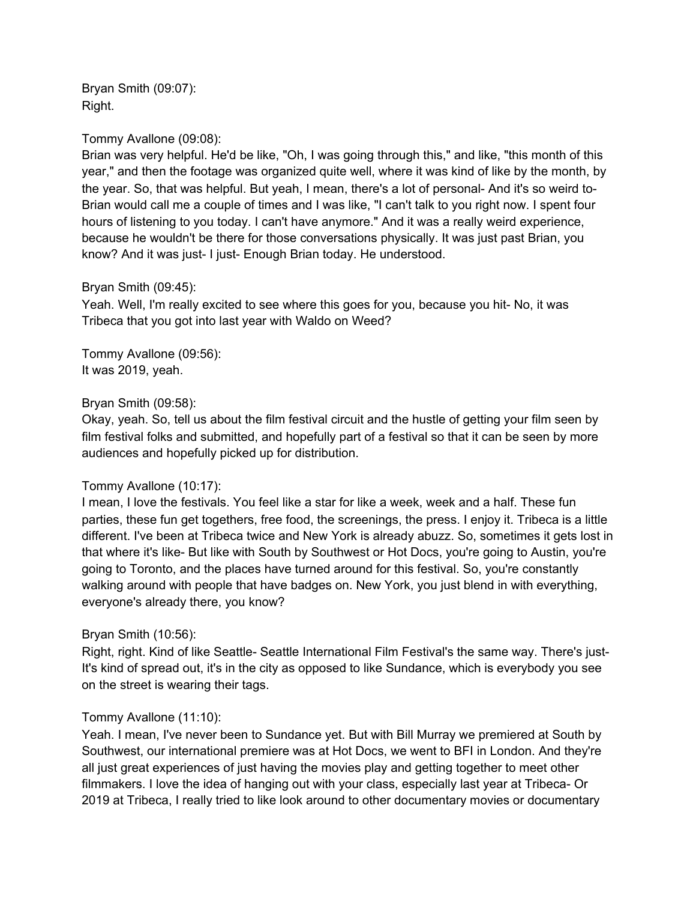Bryan Smith (09:07): Right.

#### Tommy Avallone (09:08):

Brian was very helpful. He'd be like, "Oh, I was going through this," and like, "this month of this year," and then the footage was organized quite well, where it was kind of like by the month, by the year. So, that was helpful. But yeah, I mean, there's a lot of personal- And it's so weird to-Brian would call me a couple of times and I was like, "I can't talk to you right now. I spent four hours of listening to you today. I can't have anymore." And it was a really weird experience, because he wouldn't be there for those conversations physically. It was just past Brian, you know? And it was just- I just- Enough Brian today. He understood.

#### Bryan Smith (09:45):

Yeah. Well, I'm really excited to see where this goes for you, because you hit- No, it was Tribeca that you got into last year with Waldo on Weed?

Tommy Avallone (09:56): It was 2019, yeah.

#### Bryan Smith (09:58):

Okay, yeah. So, tell us about the film festival circuit and the hustle of getting your film seen by film festival folks and submitted, and hopefully part of a festival so that it can be seen by more audiences and hopefully picked up for distribution.

### Tommy Avallone (10:17):

I mean, I love the festivals. You feel like a star for like a week, week and a half. These fun parties, these fun get togethers, free food, the screenings, the press. I enjoy it. Tribeca is a little different. I've been at Tribeca twice and New York is already abuzz. So, sometimes it gets lost in that where it's like- But like with South by Southwest or Hot Docs, you're going to Austin, you're going to Toronto, and the places have turned around for this festival. So, you're constantly walking around with people that have badges on. New York, you just blend in with everything, everyone's already there, you know?

#### Bryan Smith (10:56):

Right, right. Kind of like Seattle- Seattle International Film Festival's the same way. There's just-It's kind of spread out, it's in the city as opposed to like Sundance, which is everybody you see on the street is wearing their tags.

### Tommy Avallone (11:10):

Yeah. I mean, I've never been to Sundance yet. But with Bill Murray we premiered at South by Southwest, our international premiere was at Hot Docs, we went to BFI in London. And they're all just great experiences of just having the movies play and getting together to meet other filmmakers. I love the idea of hanging out with your class, especially last year at Tribeca- Or 2019 at Tribeca, I really tried to like look around to other documentary movies or documentary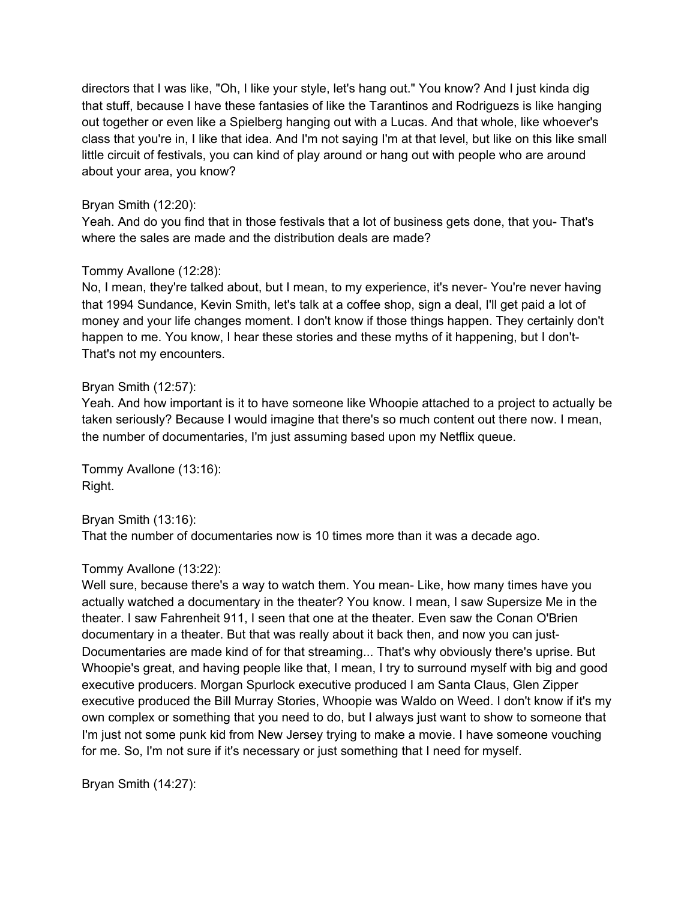directors that I was like, "Oh, I like your style, let's hang out." You know? And I just kinda dig that stuff, because I have these fantasies of like the Tarantinos and Rodriguezs is like hanging out together or even like a Spielberg hanging out with a Lucas. And that whole, like whoever's class that you're in, I like that idea. And I'm not saying I'm at that level, but like on this like small little circuit of festivals, you can kind of play around or hang out with people who are around about your area, you know?

## Bryan Smith (12:20):

Yeah. And do you find that in those festivals that a lot of business gets done, that you- That's where the sales are made and the distribution deals are made?

### Tommy Avallone (12:28):

No, I mean, they're talked about, but I mean, to my experience, it's never- You're never having that 1994 Sundance, Kevin Smith, let's talk at a coffee shop, sign a deal, I'll get paid a lot of money and your life changes moment. I don't know if those things happen. They certainly don't happen to me. You know, I hear these stories and these myths of it happening, but I don't-That's not my encounters.

### Bryan Smith (12:57):

Yeah. And how important is it to have someone like Whoopie attached to a project to actually be taken seriously? Because I would imagine that there's so much content out there now. I mean, the number of documentaries, I'm just assuming based upon my Netflix queue.

Tommy Avallone (13:16): Right.

Bryan Smith (13:16): That the number of documentaries now is 10 times more than it was a decade ago.

## Tommy Avallone (13:22):

Well sure, because there's a way to watch them. You mean- Like, how many times have you actually watched a documentary in the theater? You know. I mean, I saw Supersize Me in the theater. I saw Fahrenheit 911, I seen that one at the theater. Even saw the Conan O'Brien documentary in a theater. But that was really about it back then, and now you can just-Documentaries are made kind of for that streaming... That's why obviously there's uprise. But Whoopie's great, and having people like that, I mean, I try to surround myself with big and good executive producers. Morgan Spurlock executive produced I am Santa Claus, Glen Zipper executive produced the Bill Murray Stories, Whoopie was Waldo on Weed. I don't know if it's my own complex or something that you need to do, but I always just want to show to someone that I'm just not some punk kid from New Jersey trying to make a movie. I have someone vouching for me. So, I'm not sure if it's necessary or just something that I need for myself.

Bryan Smith (14:27):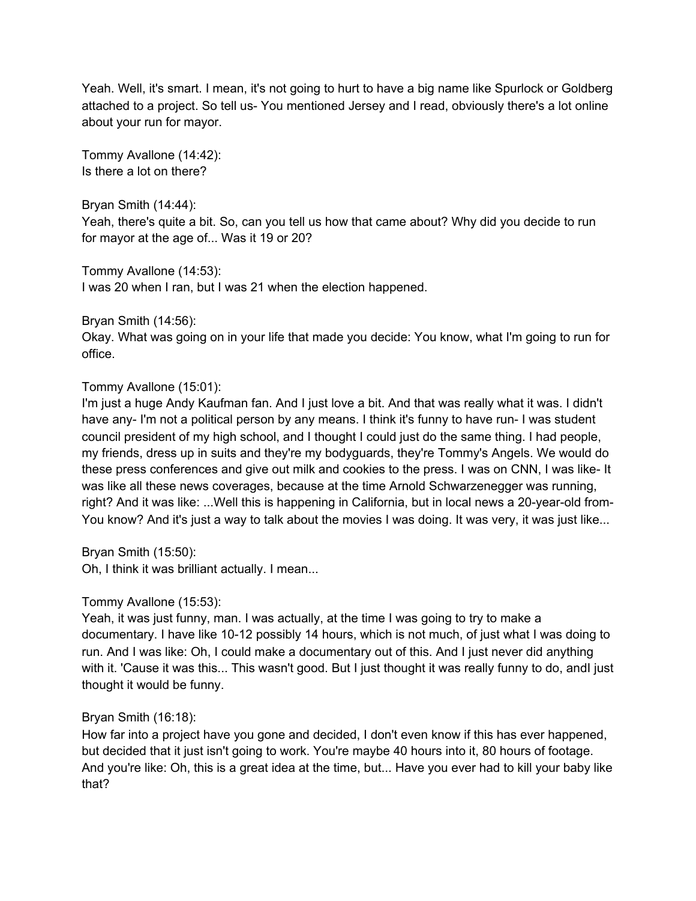Yeah. Well, it's smart. I mean, it's not going to hurt to have a big name like Spurlock or Goldberg attached to a project. So tell us- You mentioned Jersey and I read, obviously there's a lot online about your run for mayor.

Tommy Avallone (14:42): Is there a lot on there?

Bryan Smith (14:44):

Yeah, there's quite a bit. So, can you tell us how that came about? Why did you decide to run for mayor at the age of... Was it 19 or 20?

Tommy Avallone (14:53):

I was 20 when I ran, but I was 21 when the election happened.

Bryan Smith (14:56):

Okay. What was going on in your life that made you decide: You know, what I'm going to run for office.

## Tommy Avallone (15:01):

I'm just a huge Andy Kaufman fan. And I just love a bit. And that was really what it was. I didn't have any- I'm not a political person by any means. I think it's funny to have run- I was student council president of my high school, and I thought I could just do the same thing. I had people, my friends, dress up in suits and they're my bodyguards, they're Tommy's Angels. We would do these press conferences and give out milk and cookies to the press. I was on CNN, I was like- It was like all these news coverages, because at the time Arnold Schwarzenegger was running, right? And it was like: ...Well this is happening in California, but in local news a 20-year-old from-You know? And it's just a way to talk about the movies I was doing. It was very, it was just like...

Bryan Smith (15:50):

Oh, I think it was brilliant actually. I mean...

## Tommy Avallone (15:53):

Yeah, it was just funny, man. I was actually, at the time I was going to try to make a documentary. I have like 10-12 possibly 14 hours, which is not much, of just what I was doing to run. And I was like: Oh, I could make a documentary out of this. And I just never did anything with it. 'Cause it was this... This wasn't good. But I just thought it was really funny to do, andI just thought it would be funny.

## Bryan Smith (16:18):

How far into a project have you gone and decided, I don't even know if this has ever happened, but decided that it just isn't going to work. You're maybe 40 hours into it, 80 hours of footage. And you're like: Oh, this is a great idea at the time, but... Have you ever had to kill your baby like that?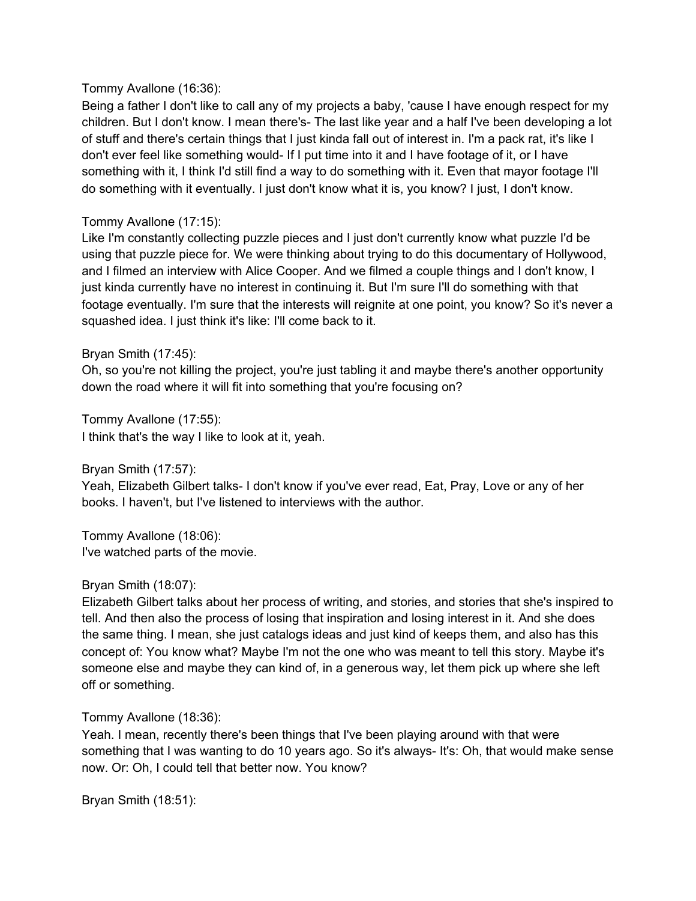### Tommy Avallone (16:36):

Being a father I don't like to call any of my projects a baby, 'cause I have enough respect for my children. But I don't know. I mean there's- The last like year and a half I've been developing a lot of stuff and there's certain things that I just kinda fall out of interest in. I'm a pack rat, it's like I don't ever feel like something would- If I put time into it and I have footage of it, or I have something with it, I think I'd still find a way to do something with it. Even that mayor footage I'll do something with it eventually. I just don't know what it is, you know? I just, I don't know.

## Tommy Avallone (17:15):

Like I'm constantly collecting puzzle pieces and I just don't currently know what puzzle I'd be using that puzzle piece for. We were thinking about trying to do this documentary of Hollywood, and I filmed an interview with Alice Cooper. And we filmed a couple things and I don't know, I just kinda currently have no interest in continuing it. But I'm sure I'll do something with that footage eventually. I'm sure that the interests will reignite at one point, you know? So it's never a squashed idea. I just think it's like: I'll come back to it.

### Bryan Smith (17:45):

Oh, so you're not killing the project, you're just tabling it and maybe there's another opportunity down the road where it will fit into something that you're focusing on?

Tommy Avallone (17:55): I think that's the way I like to look at it, yeah.

Bryan Smith (17:57):

Yeah, Elizabeth Gilbert talks- I don't know if you've ever read, Eat, Pray, Love or any of her books. I haven't, but I've listened to interviews with the author.

Tommy Avallone (18:06): I've watched parts of the movie.

### Bryan Smith (18:07):

Elizabeth Gilbert talks about her process of writing, and stories, and stories that she's inspired to tell. And then also the process of losing that inspiration and losing interest in it. And she does the same thing. I mean, she just catalogs ideas and just kind of keeps them, and also has this concept of: You know what? Maybe I'm not the one who was meant to tell this story. Maybe it's someone else and maybe they can kind of, in a generous way, let them pick up where she left off or something.

### Tommy Avallone (18:36):

Yeah. I mean, recently there's been things that I've been playing around with that were something that I was wanting to do 10 years ago. So it's always- It's: Oh, that would make sense now. Or: Oh, I could tell that better now. You know?

Bryan Smith (18:51):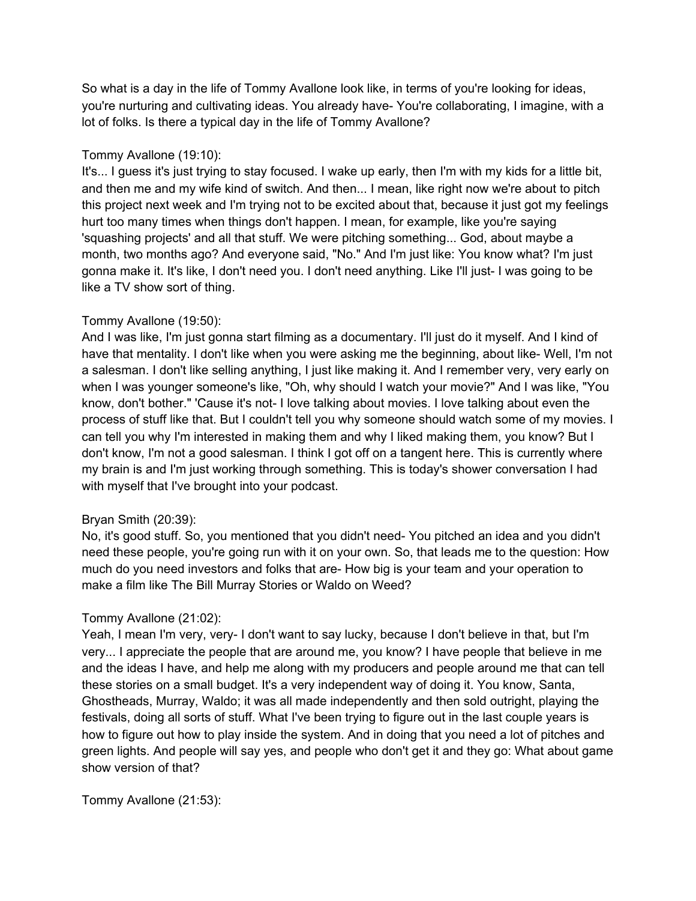So what is a day in the life of Tommy Avallone look like, in terms of you're looking for ideas, you're nurturing and cultivating ideas. You already have- You're collaborating, I imagine, with a lot of folks. Is there a typical day in the life of Tommy Avallone?

## Tommy Avallone (19:10):

It's... I guess it's just trying to stay focused. I wake up early, then I'm with my kids for a little bit, and then me and my wife kind of switch. And then... I mean, like right now we're about to pitch this project next week and I'm trying not to be excited about that, because it just got my feelings hurt too many times when things don't happen. I mean, for example, like you're saying 'squashing projects' and all that stuff. We were pitching something... God, about maybe a month, two months ago? And everyone said, "No." And I'm just like: You know what? I'm just gonna make it. It's like, I don't need you. I don't need anything. Like I'll just- I was going to be like a TV show sort of thing.

# Tommy Avallone (19:50):

And I was like, I'm just gonna start filming as a documentary. I'll just do it myself. And I kind of have that mentality. I don't like when you were asking me the beginning, about like- Well, I'm not a salesman. I don't like selling anything, I just like making it. And I remember very, very early on when I was younger someone's like, "Oh, why should I watch your movie?" And I was like, "You know, don't bother." 'Cause it's not- I love talking about movies. I love talking about even the process of stuff like that. But I couldn't tell you why someone should watch some of my movies. I can tell you why I'm interested in making them and why I liked making them, you know? But I don't know, I'm not a good salesman. I think I got off on a tangent here. This is currently where my brain is and I'm just working through something. This is today's shower conversation I had with myself that I've brought into your podcast.

## Bryan Smith (20:39):

No, it's good stuff. So, you mentioned that you didn't need- You pitched an idea and you didn't need these people, you're going run with it on your own. So, that leads me to the question: How much do you need investors and folks that are- How big is your team and your operation to make a film like The Bill Murray Stories or Waldo on Weed?

# Tommy Avallone (21:02):

Yeah, I mean I'm very, very- I don't want to say lucky, because I don't believe in that, but I'm very... I appreciate the people that are around me, you know? I have people that believe in me and the ideas I have, and help me along with my producers and people around me that can tell these stories on a small budget. It's a very independent way of doing it. You know, Santa, Ghostheads, Murray, Waldo; it was all made independently and then sold outright, playing the festivals, doing all sorts of stuff. What I've been trying to figure out in the last couple years is how to figure out how to play inside the system. And in doing that you need a lot of pitches and green lights. And people will say yes, and people who don't get it and they go: What about game show version of that?

Tommy Avallone (21:53):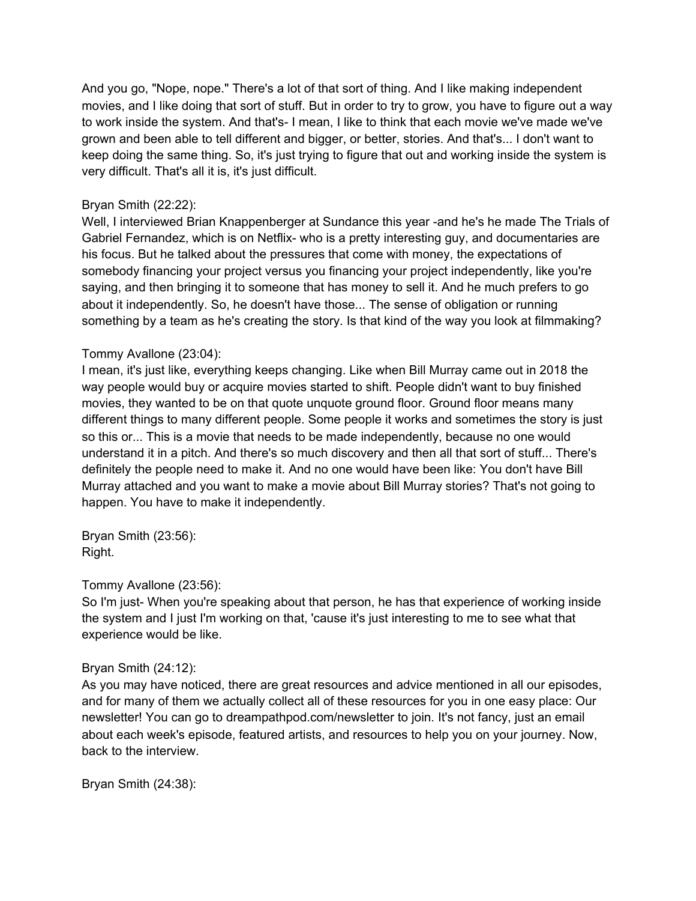And you go, "Nope, nope." There's a lot of that sort of thing. And I like making independent movies, and I like doing that sort of stuff. But in order to try to grow, you have to figure out a way to work inside the system. And that's- I mean, I like to think that each movie we've made we've grown and been able to tell different and bigger, or better, stories. And that's... I don't want to keep doing the same thing. So, it's just trying to figure that out and working inside the system is very difficult. That's all it is, it's just difficult.

## Bryan Smith (22:22):

Well, I interviewed Brian Knappenberger at Sundance this year -and he's he made The Trials of Gabriel Fernandez, which is on Netflix- who is a pretty interesting guy, and documentaries are his focus. But he talked about the pressures that come with money, the expectations of somebody financing your project versus you financing your project independently, like you're saying, and then bringing it to someone that has money to sell it. And he much prefers to go about it independently. So, he doesn't have those... The sense of obligation or running something by a team as he's creating the story. Is that kind of the way you look at filmmaking?

## Tommy Avallone (23:04):

I mean, it's just like, everything keeps changing. Like when Bill Murray came out in 2018 the way people would buy or acquire movies started to shift. People didn't want to buy finished movies, they wanted to be on that quote unquote ground floor. Ground floor means many different things to many different people. Some people it works and sometimes the story is just so this or... This is a movie that needs to be made independently, because no one would understand it in a pitch. And there's so much discovery and then all that sort of stuff... There's definitely the people need to make it. And no one would have been like: You don't have Bill Murray attached and you want to make a movie about Bill Murray stories? That's not going to happen. You have to make it independently.

Bryan Smith (23:56): Right.

### Tommy Avallone (23:56):

So I'm just- When you're speaking about that person, he has that experience of working inside the system and I just I'm working on that, 'cause it's just interesting to me to see what that experience would be like.

### Bryan Smith (24:12):

As you may have noticed, there are great resources and advice mentioned in all our episodes, and for many of them we actually collect all of these resources for you in one easy place: Our newsletter! You can go to dreampathpod.com/newsletter to join. It's not fancy, just an email about each week's episode, featured artists, and resources to help you on your journey. Now, back to the interview.

Bryan Smith (24:38):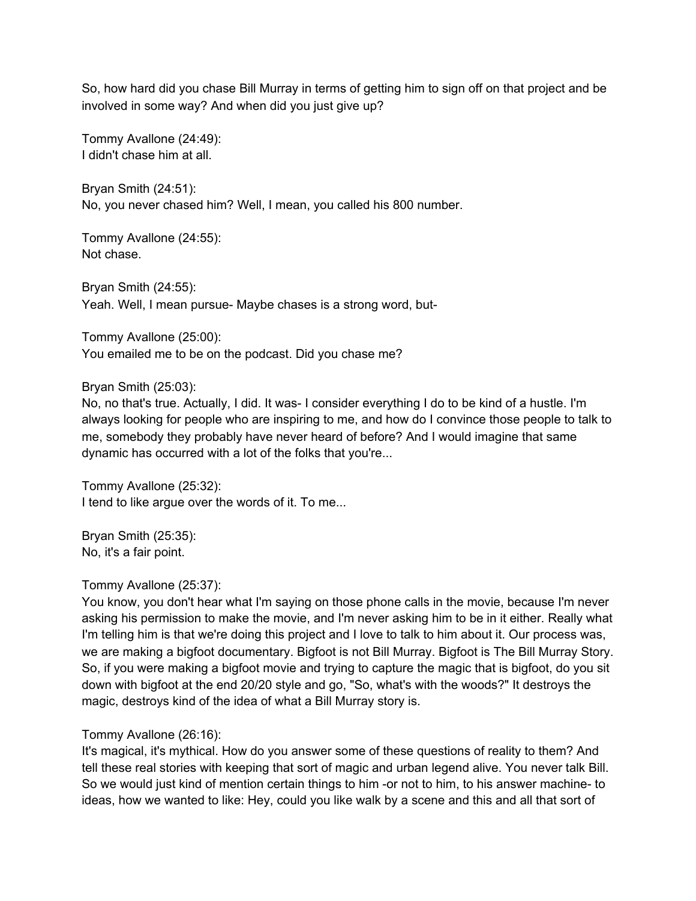So, how hard did you chase Bill Murray in terms of getting him to sign off on that project and be involved in some way? And when did you just give up?

Tommy Avallone (24:49): I didn't chase him at all.

Bryan Smith (24:51): No, you never chased him? Well, I mean, you called his 800 number.

Tommy Avallone (24:55): Not chase.

Bryan Smith (24:55): Yeah. Well, I mean pursue- Maybe chases is a strong word, but-

Tommy Avallone (25:00): You emailed me to be on the podcast. Did you chase me?

### Bryan Smith (25:03):

No, no that's true. Actually, I did. It was- I consider everything I do to be kind of a hustle. I'm always looking for people who are inspiring to me, and how do I convince those people to talk to me, somebody they probably have never heard of before? And I would imagine that same dynamic has occurred with a lot of the folks that you're...

Tommy Avallone (25:32): I tend to like argue over the words of it. To me...

Bryan Smith (25:35): No, it's a fair point.

## Tommy Avallone (25:37):

You know, you don't hear what I'm saying on those phone calls in the movie, because I'm never asking his permission to make the movie, and I'm never asking him to be in it either. Really what I'm telling him is that we're doing this project and I love to talk to him about it. Our process was, we are making a bigfoot documentary. Bigfoot is not Bill Murray. Bigfoot is The Bill Murray Story. So, if you were making a bigfoot movie and trying to capture the magic that is bigfoot, do you sit down with bigfoot at the end 20/20 style and go, "So, what's with the woods?" It destroys the magic, destroys kind of the idea of what a Bill Murray story is.

## Tommy Avallone (26:16):

It's magical, it's mythical. How do you answer some of these questions of reality to them? And tell these real stories with keeping that sort of magic and urban legend alive. You never talk Bill. So we would just kind of mention certain things to him -or not to him, to his answer machine- to ideas, how we wanted to like: Hey, could you like walk by a scene and this and all that sort of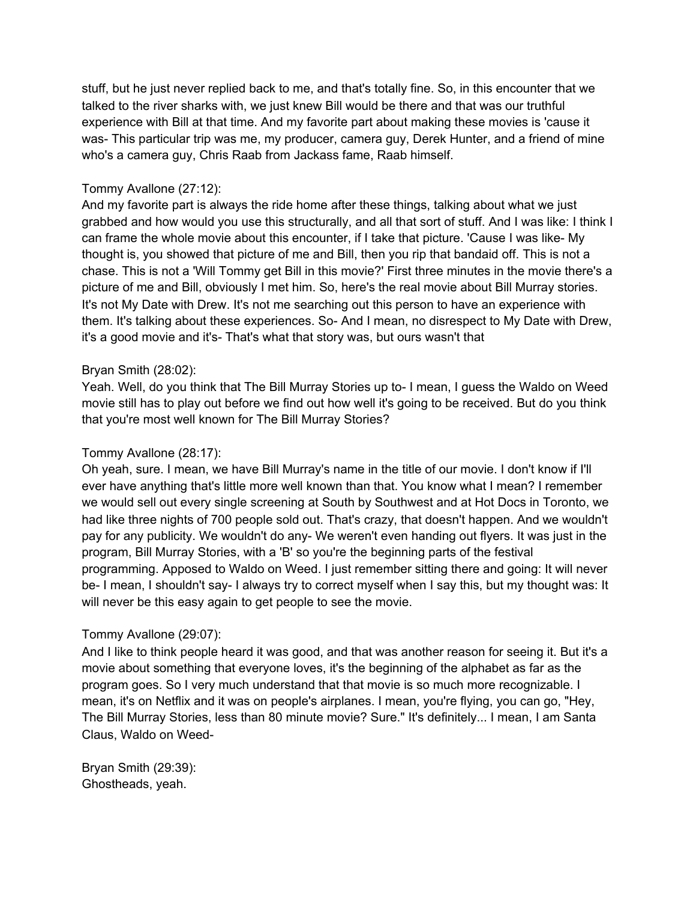stuff, but he just never replied back to me, and that's totally fine. So, in this encounter that we talked to the river sharks with, we just knew Bill would be there and that was our truthful experience with Bill at that time. And my favorite part about making these movies is 'cause it was- This particular trip was me, my producer, camera guy, Derek Hunter, and a friend of mine who's a camera guy, Chris Raab from Jackass fame, Raab himself.

## Tommy Avallone (27:12):

And my favorite part is always the ride home after these things, talking about what we just grabbed and how would you use this structurally, and all that sort of stuff. And I was like: I think I can frame the whole movie about this encounter, if I take that picture. 'Cause I was like- My thought is, you showed that picture of me and Bill, then you rip that bandaid off. This is not a chase. This is not a 'Will Tommy get Bill in this movie?' First three minutes in the movie there's a picture of me and Bill, obviously I met him. So, here's the real movie about Bill Murray stories. It's not My Date with Drew. It's not me searching out this person to have an experience with them. It's talking about these experiences. So- And I mean, no disrespect to My Date with Drew, it's a good movie and it's- That's what that story was, but ours wasn't that

### Bryan Smith (28:02):

Yeah. Well, do you think that The Bill Murray Stories up to- I mean, I guess the Waldo on Weed movie still has to play out before we find out how well it's going to be received. But do you think that you're most well known for The Bill Murray Stories?

### Tommy Avallone (28:17):

Oh yeah, sure. I mean, we have Bill Murray's name in the title of our movie. I don't know if I'll ever have anything that's little more well known than that. You know what I mean? I remember we would sell out every single screening at South by Southwest and at Hot Docs in Toronto, we had like three nights of 700 people sold out. That's crazy, that doesn't happen. And we wouldn't pay for any publicity. We wouldn't do any- We weren't even handing out flyers. It was just in the program, Bill Murray Stories, with a 'B' so you're the beginning parts of the festival programming. Apposed to Waldo on Weed. I just remember sitting there and going: It will never be- I mean, I shouldn't say- I always try to correct myself when I say this, but my thought was: It will never be this easy again to get people to see the movie.

### Tommy Avallone (29:07):

And I like to think people heard it was good, and that was another reason for seeing it. But it's a movie about something that everyone loves, it's the beginning of the alphabet as far as the program goes. So I very much understand that that movie is so much more recognizable. I mean, it's on Netflix and it was on people's airplanes. I mean, you're flying, you can go, "Hey, The Bill Murray Stories, less than 80 minute movie? Sure." It's definitely... I mean, I am Santa Claus, Waldo on Weed-

Bryan Smith (29:39): Ghostheads, yeah.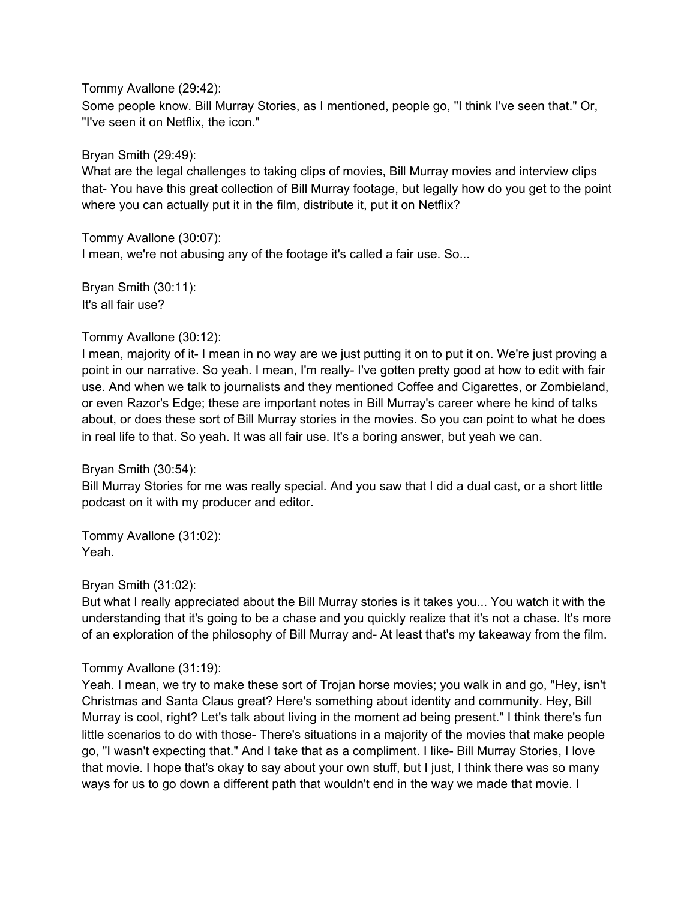Tommy Avallone (29:42):

Some people know. Bill Murray Stories, as I mentioned, people go, "I think I've seen that." Or, "I've seen it on Netflix, the icon."

Bryan Smith (29:49):

What are the legal challenges to taking clips of movies, Bill Murray movies and interview clips that- You have this great collection of Bill Murray footage, but legally how do you get to the point where you can actually put it in the film, distribute it, put it on Netflix?

Tommy Avallone (30:07): I mean, we're not abusing any of the footage it's called a fair use. So...

Bryan Smith (30:11): It's all fair use?

### Tommy Avallone (30:12):

I mean, majority of it- I mean in no way are we just putting it on to put it on. We're just proving a point in our narrative. So yeah. I mean, I'm really- I've gotten pretty good at how to edit with fair use. And when we talk to journalists and they mentioned Coffee and Cigarettes, or Zombieland, or even Razor's Edge; these are important notes in Bill Murray's career where he kind of talks about, or does these sort of Bill Murray stories in the movies. So you can point to what he does in real life to that. So yeah. It was all fair use. It's a boring answer, but yeah we can.

Bryan Smith (30:54):

Bill Murray Stories for me was really special. And you saw that I did a dual cast, or a short little podcast on it with my producer and editor.

Tommy Avallone (31:02): Yeah.

### Bryan Smith (31:02):

But what I really appreciated about the Bill Murray stories is it takes you... You watch it with the understanding that it's going to be a chase and you quickly realize that it's not a chase. It's more of an exploration of the philosophy of Bill Murray and- At least that's my takeaway from the film.

### Tommy Avallone (31:19):

Yeah. I mean, we try to make these sort of Trojan horse movies; you walk in and go, "Hey, isn't Christmas and Santa Claus great? Here's something about identity and community. Hey, Bill Murray is cool, right? Let's talk about living in the moment ad being present." I think there's fun little scenarios to do with those- There's situations in a majority of the movies that make people go, "I wasn't expecting that." And I take that as a compliment. I like- Bill Murray Stories, I love that movie. I hope that's okay to say about your own stuff, but I just, I think there was so many ways for us to go down a different path that wouldn't end in the way we made that movie. I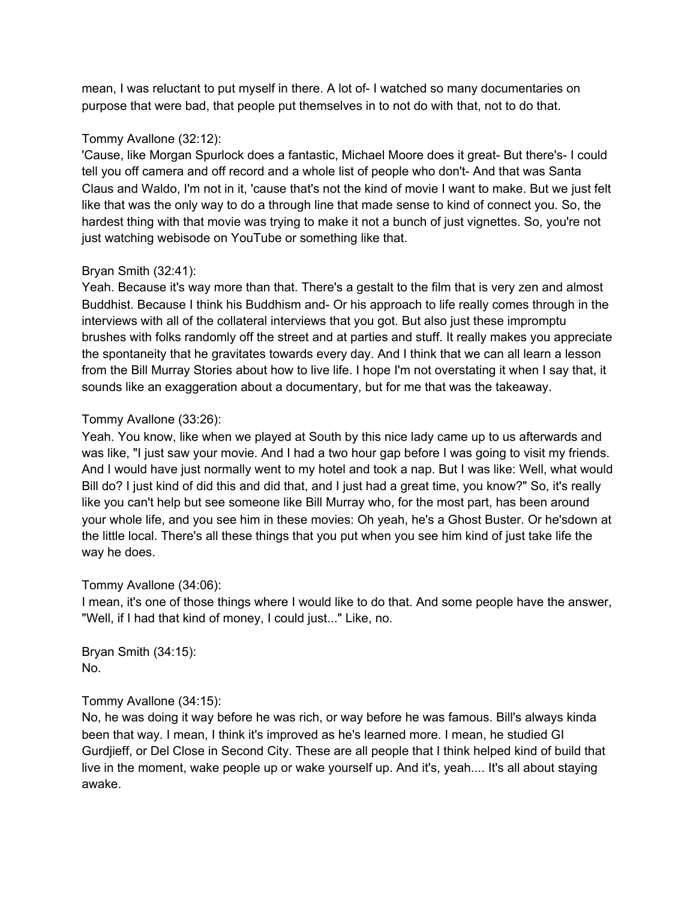mean, I was reluctant to put myself in there. A lot of- I watched so many documentaries on purpose that were bad, that people put themselves in to not do with that, not to do that.

## Tommy Avallone (32:12):

'Cause, like Morgan Spurlock does a fantastic, Michael Moore does it great- But there's- I could tell you off camera and off record and a whole list of people who don't- And that was Santa Claus and Waldo, I'm not in it, 'cause that's not the kind of movie I want to make. But we just felt like that was the only way to do a through line that made sense to kind of connect you. So, the hardest thing with that movie was trying to make it not a bunch of just vignettes. So, you're not just watching webisode on YouTube or something like that.

## Bryan Smith (32:41):

Yeah. Because it's way more than that. There's a gestalt to the film that is very zen and almost Buddhist. Because I think his Buddhism and- Or his approach to life really comes through in the interviews with all of the collateral interviews that you got. But also just these impromptu brushes with folks randomly off the street and at parties and stuff. It really makes you appreciate the spontaneity that he gravitates towards every day. And I think that we can all learn a lesson from the Bill Murray Stories about how to live life. I hope I'm not overstating it when I say that, it sounds like an exaggeration about a documentary, but for me that was the takeaway.

## Tommy Avallone (33:26):

Yeah. You know, like when we played at South by this nice lady came up to us afterwards and was like, "I just saw your movie. And I had a two hour gap before I was going to visit my friends. And I would have just normally went to my hotel and took a nap. But I was like: Well, what would Bill do? I just kind of did this and did that, and I just had a great time, you know?" So, it's really like you can't help but see someone like Bill Murray who, for the most part, has been around your whole life, and you see him in these movies: Oh yeah, he's a Ghost Buster. Or he'sdown at the little local. There's all these things that you put when you see him kind of just take life the way he does.

## Tommy Avallone (34:06):

I mean, it's one of those things where I would like to do that. And some people have the answer, "Well, if I had that kind of money, I could just..." Like, no.

Bryan Smith (34:15): No.

## Tommy Avallone (34:15):

No, he was doing it way before he was rich, or way before he was famous. Bill's always kinda been that way. I mean, I think it's improved as he's learned more. I mean, he studied GI Gurdjieff, or Del Close in Second City. These are all people that I think helped kind of build that live in the moment, wake people up or wake yourself up. And it's, yeah.... It's all about staying awake.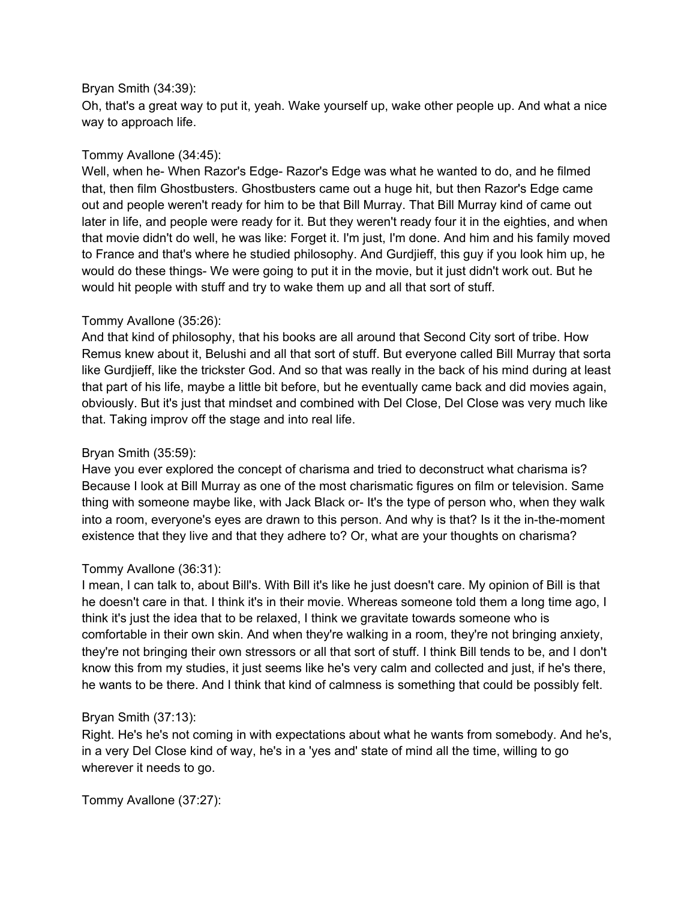### Bryan Smith (34:39):

Oh, that's a great way to put it, yeah. Wake yourself up, wake other people up. And what a nice way to approach life.

## Tommy Avallone (34:45):

Well, when he- When Razor's Edge- Razor's Edge was what he wanted to do, and he filmed that, then film Ghostbusters. Ghostbusters came out a huge hit, but then Razor's Edge came out and people weren't ready for him to be that Bill Murray. That Bill Murray kind of came out later in life, and people were ready for it. But they weren't ready four it in the eighties, and when that movie didn't do well, he was like: Forget it. I'm just, I'm done. And him and his family moved to France and that's where he studied philosophy. And Gurdjieff, this guy if you look him up, he would do these things- We were going to put it in the movie, but it just didn't work out. But he would hit people with stuff and try to wake them up and all that sort of stuff.

### Tommy Avallone (35:26):

And that kind of philosophy, that his books are all around that Second City sort of tribe. How Remus knew about it, Belushi and all that sort of stuff. But everyone called Bill Murray that sorta like Gurdjieff, like the trickster God. And so that was really in the back of his mind during at least that part of his life, maybe a little bit before, but he eventually came back and did movies again, obviously. But it's just that mindset and combined with Del Close, Del Close was very much like that. Taking improv off the stage and into real life.

## Bryan Smith (35:59):

Have you ever explored the concept of charisma and tried to deconstruct what charisma is? Because I look at Bill Murray as one of the most charismatic figures on film or television. Same thing with someone maybe like, with Jack Black or- It's the type of person who, when they walk into a room, everyone's eyes are drawn to this person. And why is that? Is it the in-the-moment existence that they live and that they adhere to? Or, what are your thoughts on charisma?

## Tommy Avallone (36:31):

I mean, I can talk to, about Bill's. With Bill it's like he just doesn't care. My opinion of Bill is that he doesn't care in that. I think it's in their movie. Whereas someone told them a long time ago, I think it's just the idea that to be relaxed, I think we gravitate towards someone who is comfortable in their own skin. And when they're walking in a room, they're not bringing anxiety, they're not bringing their own stressors or all that sort of stuff. I think Bill tends to be, and I don't know this from my studies, it just seems like he's very calm and collected and just, if he's there, he wants to be there. And I think that kind of calmness is something that could be possibly felt.

## Bryan Smith (37:13):

Right. He's he's not coming in with expectations about what he wants from somebody. And he's, in a very Del Close kind of way, he's in a 'yes and' state of mind all the time, willing to go wherever it needs to go.

Tommy Avallone (37:27):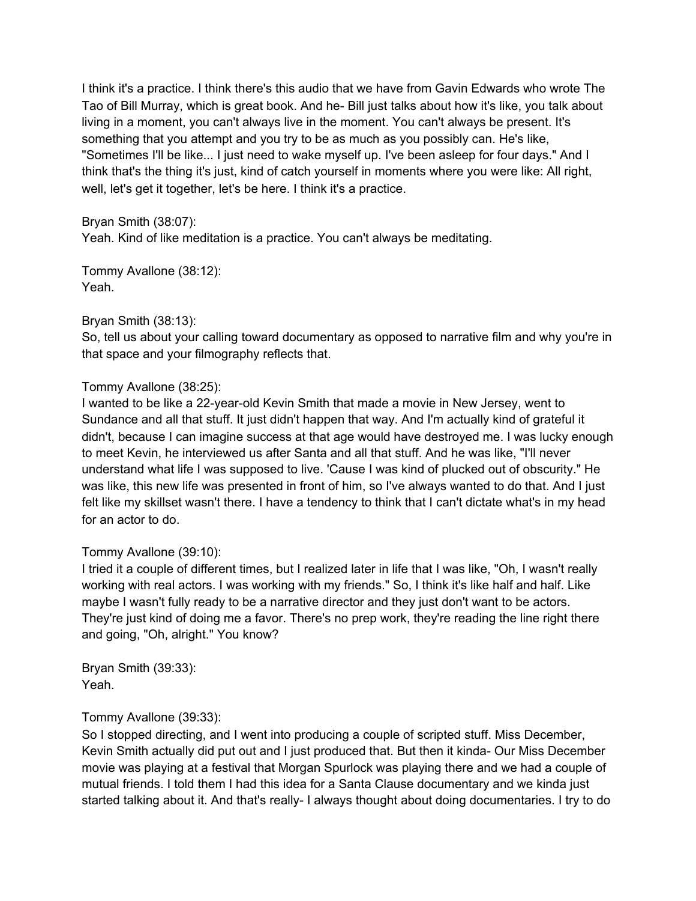I think it's a practice. I think there's this audio that we have from Gavin Edwards who wrote The Tao of Bill Murray, which is great book. And he- Bill just talks about how it's like, you talk about living in a moment, you can't always live in the moment. You can't always be present. It's something that you attempt and you try to be as much as you possibly can. He's like, "Sometimes I'll be like... I just need to wake myself up. I've been asleep for four days." And I think that's the thing it's just, kind of catch yourself in moments where you were like: All right, well, let's get it together, let's be here. I think it's a practice.

Bryan Smith (38:07):

Yeah. Kind of like meditation is a practice. You can't always be meditating.

Tommy Avallone (38:12): Yeah.

### Bryan Smith (38:13):

So, tell us about your calling toward documentary as opposed to narrative film and why you're in that space and your filmography reflects that.

## Tommy Avallone (38:25):

I wanted to be like a 22-year-old Kevin Smith that made a movie in New Jersey, went to Sundance and all that stuff. It just didn't happen that way. And I'm actually kind of grateful it didn't, because I can imagine success at that age would have destroyed me. I was lucky enough to meet Kevin, he interviewed us after Santa and all that stuff. And he was like, "I'll never understand what life I was supposed to live. 'Cause I was kind of plucked out of obscurity." He was like, this new life was presented in front of him, so I've always wanted to do that. And I just felt like my skillset wasn't there. I have a tendency to think that I can't dictate what's in my head for an actor to do.

## Tommy Avallone (39:10):

I tried it a couple of different times, but I realized later in life that I was like, "Oh, I wasn't really working with real actors. I was working with my friends." So, I think it's like half and half. Like maybe I wasn't fully ready to be a narrative director and they just don't want to be actors. They're just kind of doing me a favor. There's no prep work, they're reading the line right there and going, "Oh, alright." You know?

Bryan Smith (39:33): Yeah.

## Tommy Avallone (39:33):

So I stopped directing, and I went into producing a couple of scripted stuff. Miss December, Kevin Smith actually did put out and I just produced that. But then it kinda- Our Miss December movie was playing at a festival that Morgan Spurlock was playing there and we had a couple of mutual friends. I told them I had this idea for a Santa Clause documentary and we kinda just started talking about it. And that's really- I always thought about doing documentaries. I try to do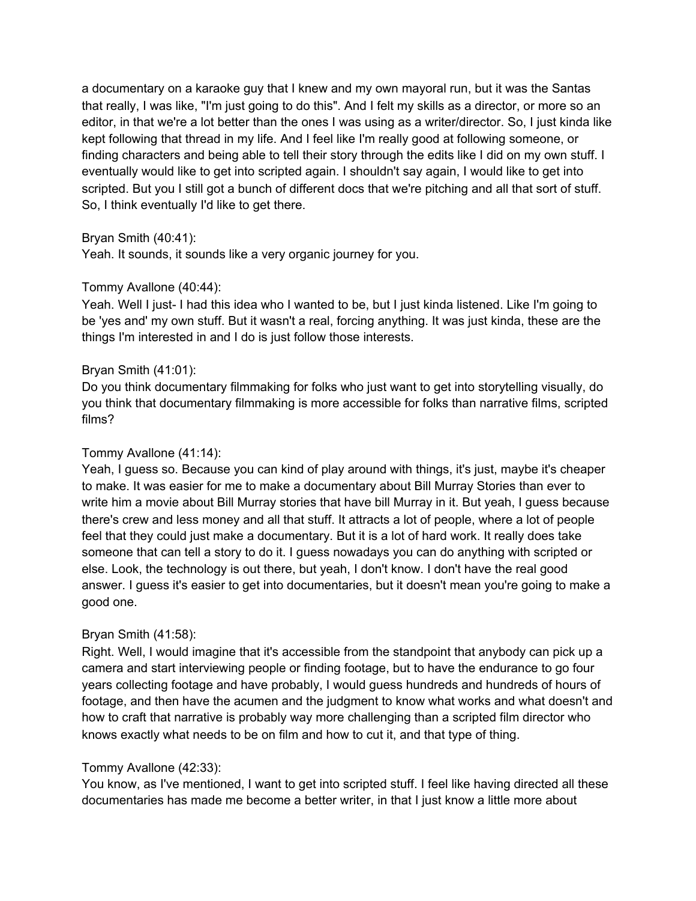a documentary on a karaoke guy that I knew and my own mayoral run, but it was the Santas that really, I was like, "I'm just going to do this". And I felt my skills as a director, or more so an editor, in that we're a lot better than the ones I was using as a writer/director. So, I just kinda like kept following that thread in my life. And I feel like I'm really good at following someone, or finding characters and being able to tell their story through the edits like I did on my own stuff. I eventually would like to get into scripted again. I shouldn't say again, I would like to get into scripted. But you I still got a bunch of different docs that we're pitching and all that sort of stuff. So, I think eventually I'd like to get there.

### Bryan Smith (40:41):

Yeah. It sounds, it sounds like a very organic journey for you.

### Tommy Avallone (40:44):

Yeah. Well I just- I had this idea who I wanted to be, but I just kinda listened. Like I'm going to be 'yes and' my own stuff. But it wasn't a real, forcing anything. It was just kinda, these are the things I'm interested in and I do is just follow those interests.

### Bryan Smith (41:01):

Do you think documentary filmmaking for folks who just want to get into storytelling visually, do you think that documentary filmmaking is more accessible for folks than narrative films, scripted films?

### Tommy Avallone (41:14):

Yeah, I guess so. Because you can kind of play around with things, it's just, maybe it's cheaper to make. It was easier for me to make a documentary about Bill Murray Stories than ever to write him a movie about Bill Murray stories that have bill Murray in it. But yeah, I guess because there's crew and less money and all that stuff. It attracts a lot of people, where a lot of people feel that they could just make a documentary. But it is a lot of hard work. It really does take someone that can tell a story to do it. I guess nowadays you can do anything with scripted or else. Look, the technology is out there, but yeah, I don't know. I don't have the real good answer. I guess it's easier to get into documentaries, but it doesn't mean you're going to make a good one.

### Bryan Smith (41:58):

Right. Well, I would imagine that it's accessible from the standpoint that anybody can pick up a camera and start interviewing people or finding footage, but to have the endurance to go four years collecting footage and have probably, I would guess hundreds and hundreds of hours of footage, and then have the acumen and the judgment to know what works and what doesn't and how to craft that narrative is probably way more challenging than a scripted film director who knows exactly what needs to be on film and how to cut it, and that type of thing.

### Tommy Avallone (42:33):

You know, as I've mentioned, I want to get into scripted stuff. I feel like having directed all these documentaries has made me become a better writer, in that I just know a little more about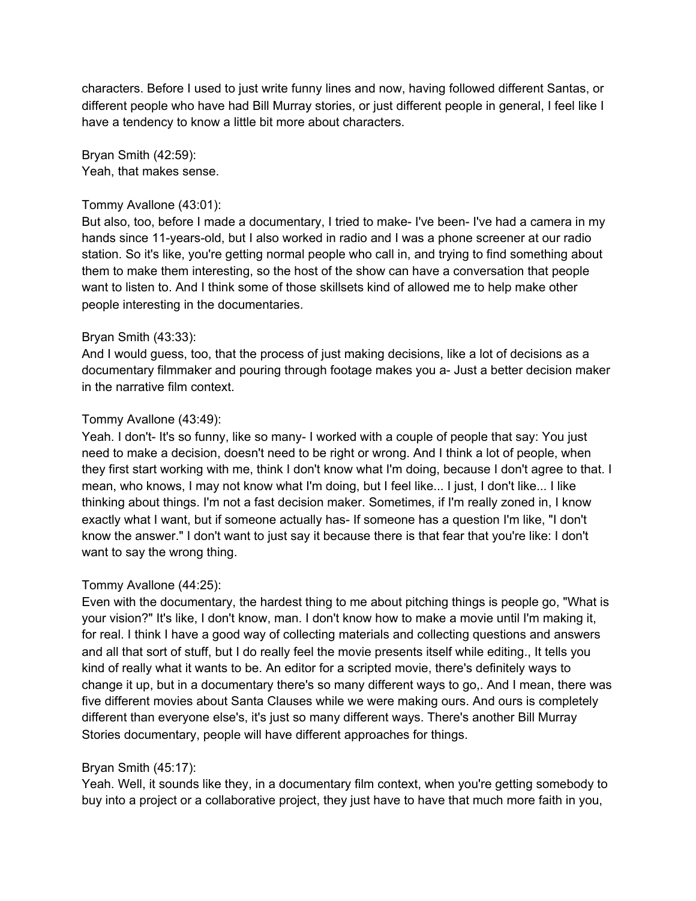characters. Before I used to just write funny lines and now, having followed different Santas, or different people who have had Bill Murray stories, or just different people in general, I feel like I have a tendency to know a little bit more about characters.

Bryan Smith (42:59): Yeah, that makes sense.

### Tommy Avallone (43:01):

But also, too, before I made a documentary, I tried to make- I've been- I've had a camera in my hands since 11-years-old, but I also worked in radio and I was a phone screener at our radio station. So it's like, you're getting normal people who call in, and trying to find something about them to make them interesting, so the host of the show can have a conversation that people want to listen to. And I think some of those skillsets kind of allowed me to help make other people interesting in the documentaries.

#### Bryan Smith (43:33):

And I would guess, too, that the process of just making decisions, like a lot of decisions as a documentary filmmaker and pouring through footage makes you a- Just a better decision maker in the narrative film context.

### Tommy Avallone (43:49):

Yeah. I don't- It's so funny, like so many- I worked with a couple of people that say: You just need to make a decision, doesn't need to be right or wrong. And I think a lot of people, when they first start working with me, think I don't know what I'm doing, because I don't agree to that. I mean, who knows, I may not know what I'm doing, but I feel like... I just, I don't like... I like thinking about things. I'm not a fast decision maker. Sometimes, if I'm really zoned in, I know exactly what I want, but if someone actually has- If someone has a question I'm like, "I don't know the answer." I don't want to just say it because there is that fear that you're like: I don't want to say the wrong thing.

### Tommy Avallone (44:25):

Even with the documentary, the hardest thing to me about pitching things is people go, "What is your vision?" It's like, I don't know, man. I don't know how to make a movie until I'm making it, for real. I think I have a good way of collecting materials and collecting questions and answers and all that sort of stuff, but I do really feel the movie presents itself while editing., It tells you kind of really what it wants to be. An editor for a scripted movie, there's definitely ways to change it up, but in a documentary there's so many different ways to go,. And I mean, there was five different movies about Santa Clauses while we were making ours. And ours is completely different than everyone else's, it's just so many different ways. There's another Bill Murray Stories documentary, people will have different approaches for things.

#### Bryan Smith (45:17):

Yeah. Well, it sounds like they, in a documentary film context, when you're getting somebody to buy into a project or a collaborative project, they just have to have that much more faith in you,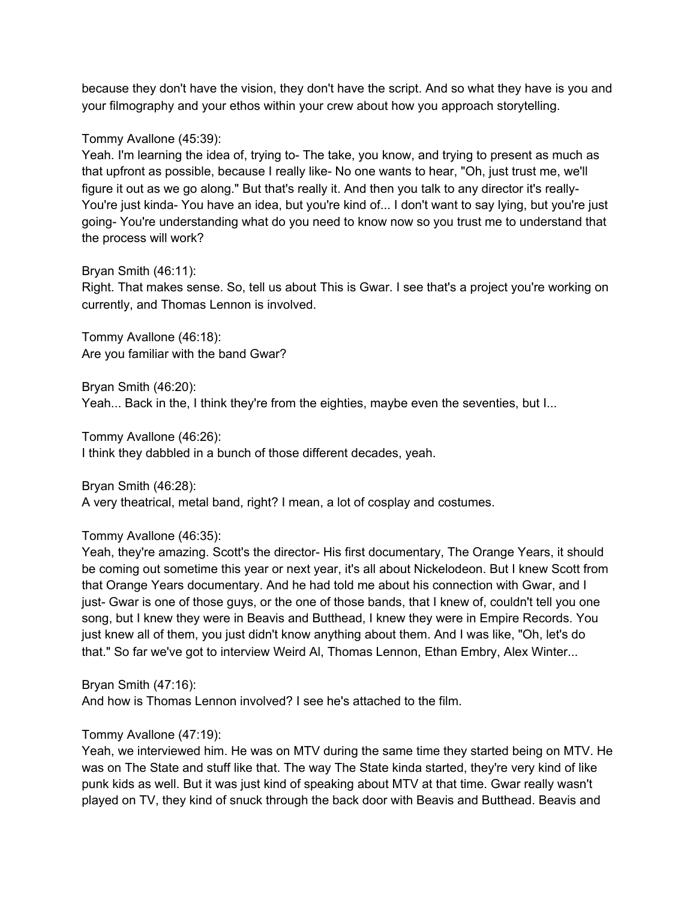because they don't have the vision, they don't have the script. And so what they have is you and your filmography and your ethos within your crew about how you approach storytelling.

### Tommy Avallone (45:39):

Yeah. I'm learning the idea of, trying to- The take, you know, and trying to present as much as that upfront as possible, because I really like- No one wants to hear, "Oh, just trust me, we'll figure it out as we go along." But that's really it. And then you talk to any director it's really-You're just kinda- You have an idea, but you're kind of... I don't want to say lying, but you're just going- You're understanding what do you need to know now so you trust me to understand that the process will work?

### Bryan Smith (46:11):

Right. That makes sense. So, tell us about This is Gwar. I see that's a project you're working on currently, and Thomas Lennon is involved.

Tommy Avallone (46:18): Are you familiar with the band Gwar?

Bryan Smith (46:20):

Yeah... Back in the, I think they're from the eighties, maybe even the seventies, but I...

Tommy Avallone (46:26):

I think they dabbled in a bunch of those different decades, yeah.

Bryan Smith (46:28):

A very theatrical, metal band, right? I mean, a lot of cosplay and costumes.

### Tommy Avallone (46:35):

Yeah, they're amazing. Scott's the director- His first documentary, The Orange Years, it should be coming out sometime this year or next year, it's all about Nickelodeon. But I knew Scott from that Orange Years documentary. And he had told me about his connection with Gwar, and I just- Gwar is one of those guys, or the one of those bands, that I knew of, couldn't tell you one song, but I knew they were in Beavis and Butthead, I knew they were in Empire Records. You just knew all of them, you just didn't know anything about them. And I was like, "Oh, let's do that." So far we've got to interview Weird Al, Thomas Lennon, Ethan Embry, Alex Winter...

Bryan Smith (47:16):

And how is Thomas Lennon involved? I see he's attached to the film.

## Tommy Avallone (47:19):

Yeah, we interviewed him. He was on MTV during the same time they started being on MTV. He was on The State and stuff like that. The way The State kinda started, they're very kind of like punk kids as well. But it was just kind of speaking about MTV at that time. Gwar really wasn't played on TV, they kind of snuck through the back door with Beavis and Butthead. Beavis and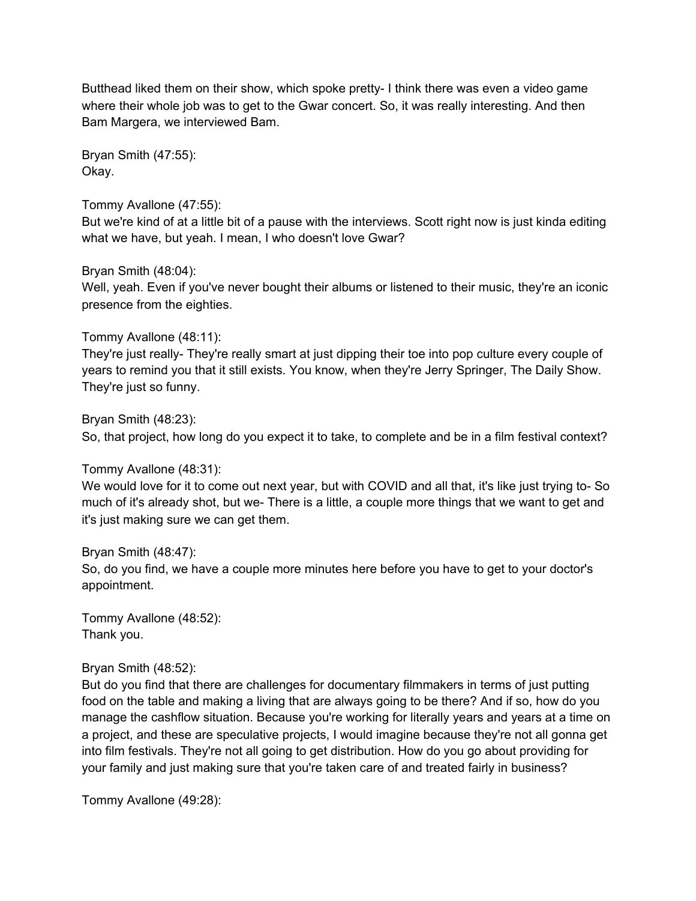Butthead liked them on their show, which spoke pretty- I think there was even a video game where their whole job was to get to the Gwar concert. So, it was really interesting. And then Bam Margera, we interviewed Bam.

Bryan Smith (47:55): Okay.

Tommy Avallone (47:55):

But we're kind of at a little bit of a pause with the interviews. Scott right now is just kinda editing what we have, but yeah. I mean, I who doesn't love Gwar?

### Bryan Smith (48:04):

Well, yeah. Even if you've never bought their albums or listened to their music, they're an iconic presence from the eighties.

## Tommy Avallone (48:11):

They're just really- They're really smart at just dipping their toe into pop culture every couple of years to remind you that it still exists. You know, when they're Jerry Springer, The Daily Show. They're just so funny.

## Bryan Smith (48:23):

So, that project, how long do you expect it to take, to complete and be in a film festival context?

## Tommy Avallone (48:31):

We would love for it to come out next year, but with COVID and all that, it's like just trying to- So much of it's already shot, but we- There is a little, a couple more things that we want to get and it's just making sure we can get them.

## Bryan Smith (48:47):

So, do you find, we have a couple more minutes here before you have to get to your doctor's appointment.

Tommy Avallone (48:52): Thank you.

## Bryan Smith (48:52):

But do you find that there are challenges for documentary filmmakers in terms of just putting food on the table and making a living that are always going to be there? And if so, how do you manage the cashflow situation. Because you're working for literally years and years at a time on a project, and these are speculative projects, I would imagine because they're not all gonna get into film festivals. They're not all going to get distribution. How do you go about providing for your family and just making sure that you're taken care of and treated fairly in business?

Tommy Avallone (49:28):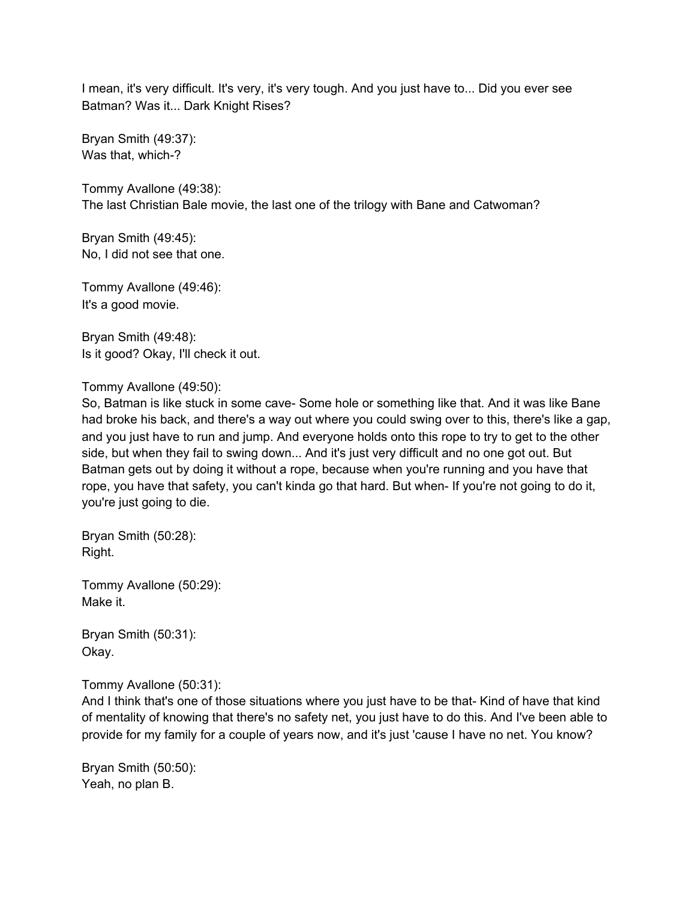I mean, it's very difficult. It's very, it's very tough. And you just have to... Did you ever see Batman? Was it... Dark Knight Rises?

Bryan Smith (49:37): Was that, which-?

Tommy Avallone (49:38): The last Christian Bale movie, the last one of the trilogy with Bane and Catwoman?

Bryan Smith (49:45): No, I did not see that one.

Tommy Avallone (49:46): It's a good movie.

Bryan Smith (49:48): Is it good? Okay, I'll check it out.

### Tommy Avallone (49:50):

So, Batman is like stuck in some cave- Some hole or something like that. And it was like Bane had broke his back, and there's a way out where you could swing over to this, there's like a gap, and you just have to run and jump. And everyone holds onto this rope to try to get to the other side, but when they fail to swing down... And it's just very difficult and no one got out. But Batman gets out by doing it without a rope, because when you're running and you have that rope, you have that safety, you can't kinda go that hard. But when- If you're not going to do it, you're just going to die.

Bryan Smith (50:28): Right.

Tommy Avallone (50:29): Make it.

Bryan Smith (50:31): Okay.

### Tommy Avallone (50:31):

And I think that's one of those situations where you just have to be that- Kind of have that kind of mentality of knowing that there's no safety net, you just have to do this. And I've been able to provide for my family for a couple of years now, and it's just 'cause I have no net. You know?

Bryan Smith (50:50): Yeah, no plan B.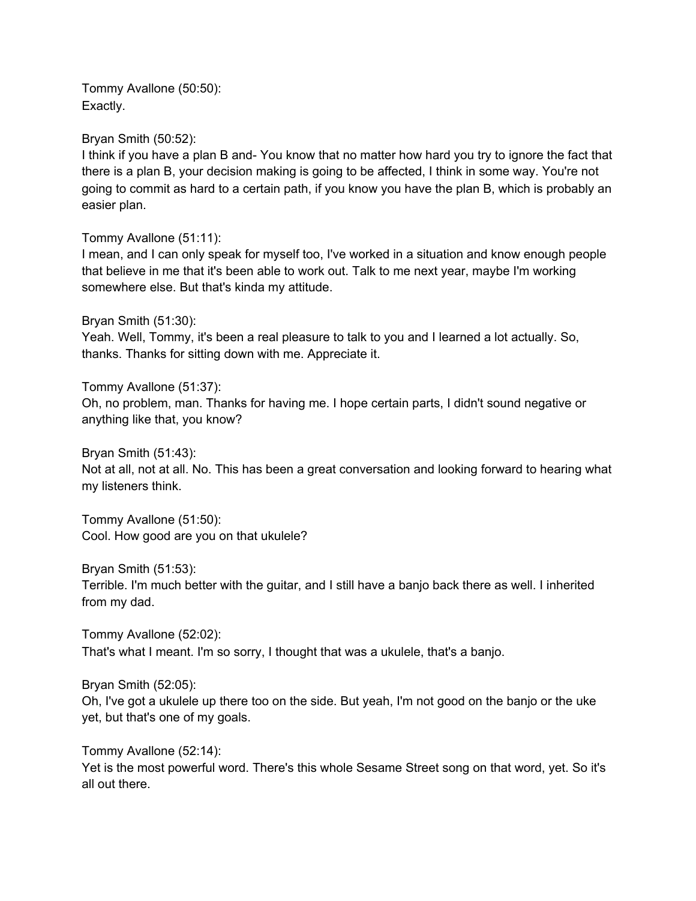Tommy Avallone (50:50): Exactly.

Bryan Smith (50:52):

I think if you have a plan B and- You know that no matter how hard you try to ignore the fact that there is a plan B, your decision making is going to be affected, I think in some way. You're not going to commit as hard to a certain path, if you know you have the plan B, which is probably an easier plan.

Tommy Avallone (51:11):

I mean, and I can only speak for myself too, I've worked in a situation and know enough people that believe in me that it's been able to work out. Talk to me next year, maybe I'm working somewhere else. But that's kinda my attitude.

Bryan Smith (51:30):

Yeah. Well, Tommy, it's been a real pleasure to talk to you and I learned a lot actually. So, thanks. Thanks for sitting down with me. Appreciate it.

Tommy Avallone (51:37): Oh, no problem, man. Thanks for having me. I hope certain parts, I didn't sound negative or anything like that, you know?

Bryan Smith (51:43): Not at all, not at all. No. This has been a great conversation and looking forward to hearing what my listeners think.

Tommy Avallone (51:50): Cool. How good are you on that ukulele?

Bryan Smith (51:53):

Terrible. I'm much better with the guitar, and I still have a banjo back there as well. I inherited from my dad.

Tommy Avallone (52:02): That's what I meant. I'm so sorry, I thought that was a ukulele, that's a banjo.

Bryan Smith (52:05):

Oh, I've got a ukulele up there too on the side. But yeah, I'm not good on the banjo or the uke yet, but that's one of my goals.

Tommy Avallone (52:14):

Yet is the most powerful word. There's this whole Sesame Street song on that word, yet. So it's all out there.